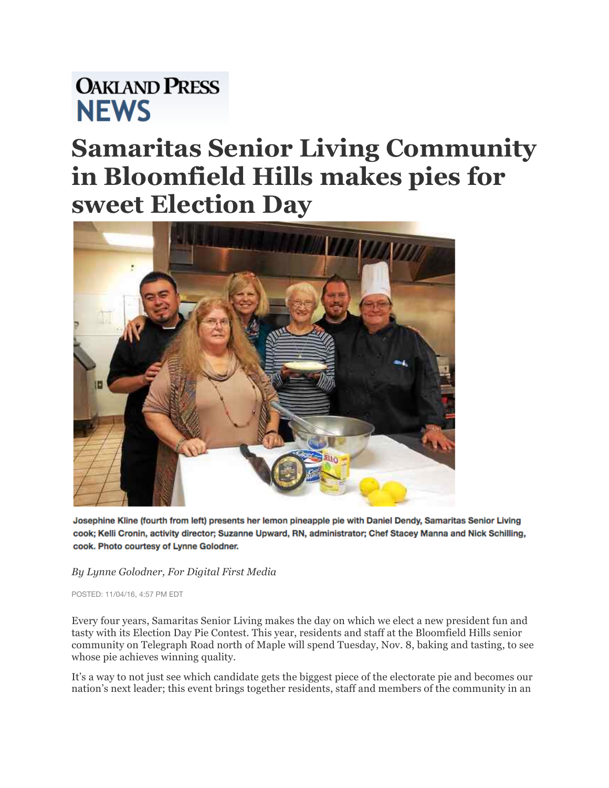## **OAKLAND PRESS NEWS**

## **Samaritas Senior Living Community in Bloomfield Hills makes pies for sweet Election Day**



Josephine Kline (fourth from left) presents her lemon pineapple pie with Daniel Dendy, Samaritas Senior Living cook; Kelli Cronin, activity director; Suzanne Upward, RN, administrator; Chef Stacey Manna and Nick Schilling, cook. Photo courtesy of Lynne Golodner.

## *By Lynne Golodner, For Digital First Media*

POSTED: 11/04/16, 4:57 PM EDT

Every four years, Samaritas Senior Living makes the day on which we elect a new president fun and tasty with its Election Day Pie Contest. This year, residents and staff at the Bloomfield Hills senior community on Telegraph Road north of Maple will spend Tuesday, Nov. 8, baking and tasting, to see whose pie achieves winning quality.

It's a way to not just see which candidate gets the biggest piece of the electorate pie and becomes our nation's next leader; this event brings together residents, staff and members of the community in an